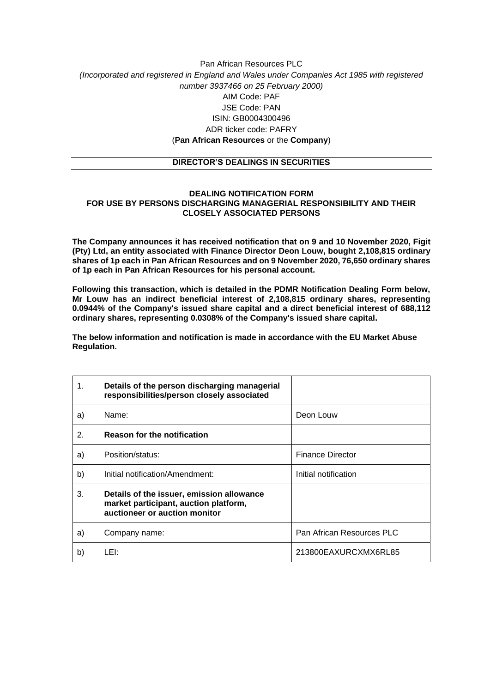## Pan African Resources PLC *(Incorporated and registered in England and Wales under Companies Act 1985 with registered number 3937466 on 25 February 2000)* AIM Code: PAF JSE Code: PAN ISIN: GB0004300496 ADR ticker code: PAFRY (**Pan African Resources** or the **Company**)

## **DIRECTOR'S DEALINGS IN SECURITIES**

## **DEALING NOTIFICATION FORM FOR USE BY PERSONS DISCHARGING MANAGERIAL RESPONSIBILITY AND THEIR CLOSELY ASSOCIATED PERSONS**

**The Company announces it has received notification that on 9 and 10 November 2020, Figit (Pty) Ltd, an entity associated with Finance Director Deon Louw, bought 2,108,815 ordinary shares of 1p each in Pan African Resources and on 9 November 2020, 76,650 ordinary shares of 1p each in Pan African Resources for his personal account.**

**Following this transaction, which is detailed in the PDMR Notification Dealing Form below, Mr Louw has an indirect beneficial interest of 2,108,815 ordinary shares, representing 0.0944% of the Company's issued share capital and a direct beneficial interest of 688,112 ordinary shares, representing 0.0308% of the Company's issued share capital.**

**The below information and notification is made in accordance with the EU Market Abuse Regulation.**

| 1. | Details of the person discharging managerial<br>responsibilities/person closely associated                          |                           |
|----|---------------------------------------------------------------------------------------------------------------------|---------------------------|
| a) | Name:                                                                                                               | Deon Louw                 |
| 2. | <b>Reason for the notification</b>                                                                                  |                           |
| a) | Position/status:                                                                                                    | <b>Finance Director</b>   |
| b) | Initial notification/Amendment:                                                                                     | Initial notification      |
| 3. | Details of the issuer, emission allowance<br>market participant, auction platform,<br>auctioneer or auction monitor |                           |
| a) | Company name:                                                                                                       | Pan African Resources PLC |
| b) | LEI:                                                                                                                | 213800EAXURCXMX6RL85      |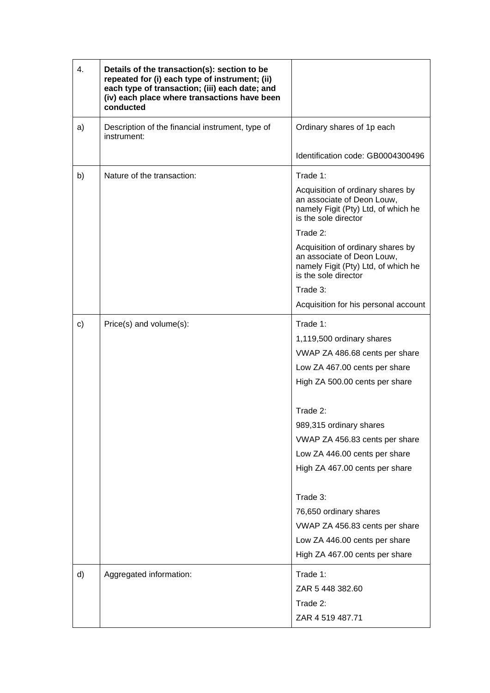| 4. | Details of the transaction(s): section to be<br>repeated for (i) each type of instrument; (ii)<br>each type of transaction; (iii) each date; and<br>(iv) each place where transactions have been<br>conducted |                                                                                                                                |
|----|---------------------------------------------------------------------------------------------------------------------------------------------------------------------------------------------------------------|--------------------------------------------------------------------------------------------------------------------------------|
| a) | Description of the financial instrument, type of<br>instrument:                                                                                                                                               | Ordinary shares of 1p each                                                                                                     |
|    |                                                                                                                                                                                                               | Identification code: GB0004300496                                                                                              |
| b) | Nature of the transaction:                                                                                                                                                                                    | Trade 1:                                                                                                                       |
|    |                                                                                                                                                                                                               | Acquisition of ordinary shares by<br>an associate of Deon Louw,<br>namely Figit (Pty) Ltd, of which he<br>is the sole director |
|    |                                                                                                                                                                                                               | Trade 2:                                                                                                                       |
|    |                                                                                                                                                                                                               | Acquisition of ordinary shares by<br>an associate of Deon Louw,<br>namely Figit (Pty) Ltd, of which he<br>is the sole director |
|    |                                                                                                                                                                                                               | Trade 3:                                                                                                                       |
|    |                                                                                                                                                                                                               | Acquisition for his personal account                                                                                           |
| c) | Price(s) and volume(s):                                                                                                                                                                                       | Trade 1:                                                                                                                       |
|    |                                                                                                                                                                                                               | 1,119,500 ordinary shares                                                                                                      |
|    |                                                                                                                                                                                                               | VWAP ZA 486.68 cents per share                                                                                                 |
|    |                                                                                                                                                                                                               | Low ZA 467.00 cents per share                                                                                                  |
|    |                                                                                                                                                                                                               | High ZA 500.00 cents per share                                                                                                 |
|    |                                                                                                                                                                                                               | Trade 2:                                                                                                                       |
|    |                                                                                                                                                                                                               | 989,315 ordinary shares                                                                                                        |
|    |                                                                                                                                                                                                               | VWAP ZA 456.83 cents per share                                                                                                 |
|    |                                                                                                                                                                                                               | Low ZA 446.00 cents per share                                                                                                  |
|    |                                                                                                                                                                                                               | High ZA 467.00 cents per share                                                                                                 |
|    |                                                                                                                                                                                                               | Trade 3:                                                                                                                       |
|    |                                                                                                                                                                                                               | 76,650 ordinary shares                                                                                                         |
|    |                                                                                                                                                                                                               | VWAP ZA 456.83 cents per share                                                                                                 |
|    |                                                                                                                                                                                                               | Low ZA 446.00 cents per share                                                                                                  |
|    |                                                                                                                                                                                                               | High ZA 467.00 cents per share                                                                                                 |
| d) | Aggregated information:                                                                                                                                                                                       | Trade 1:                                                                                                                       |
|    |                                                                                                                                                                                                               | ZAR 5 448 382.60                                                                                                               |
|    |                                                                                                                                                                                                               | Trade 2:                                                                                                                       |
|    |                                                                                                                                                                                                               | ZAR 4 519 487.71                                                                                                               |